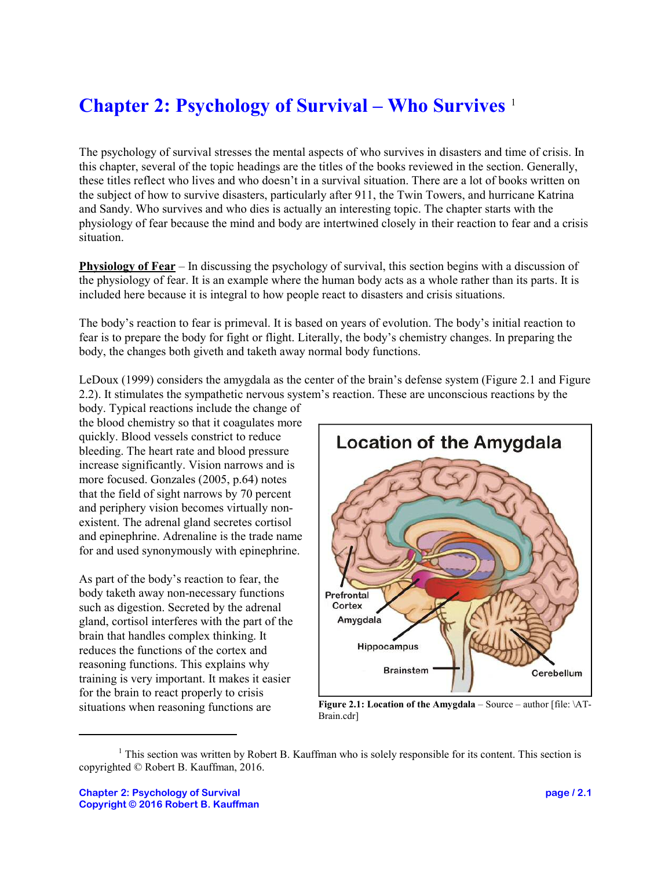## **Chapter 2: Psychology of Survival – Who Survives** <sup>1</sup>

The psychology of survival stresses the mental aspects of who survives in disasters and time of crisis. In this chapter, several of the topic headings are the titles of the books reviewed in the section. Generally, these titles reflect who lives and who doesn't in a survival situation. There are a lot of books written on the subject of how to survive disasters, particularly after 911, the Twin Towers, and hurricane Katrina and Sandy. Who survives and who dies is actually an interesting topic. The chapter starts with the physiology of fear because the mind and body are intertwined closely in their reaction to fear and a crisis situation.

**Physiology of Fear** – In discussing the psychology of survival, this section begins with a discussion of the physiology of fear. It is an example where the human body acts as a whole rather than its parts. It is included here because it is integral to how people react to disasters and crisis situations.

The body's reaction to fear is primeval. It is based on years of evolution. The body's initial reaction to fear is to prepare the body for fight or flight. Literally, the body's chemistry changes. In preparing the body, the changes both giveth and taketh away normal body functions.

LeDoux (1999) considers the amygdala as the center of the brain's defense system (Figure 2.1 and Figure 2.2). It stimulates the sympathetic nervous system's reaction. These are unconscious reactions by the

body. Typical reactions include the change of the blood chemistry so that it coagulates more quickly. Blood vessels constrict to reduce bleeding. The heart rate and blood pressure increase significantly. Vision narrows and is more focused. Gonzales (2005, p.64) notes that the field of sight narrows by 70 percent and periphery vision becomes virtually nonexistent. The adrenal gland secretes cortisol and epinephrine. Adrenaline is the trade name for and used synonymously with epinephrine.

As part of the body's reaction to fear, the body taketh away non-necessary functions such as digestion. Secreted by the adrenal gland, cortisol interferes with the part of the brain that handles complex thinking. It reduces the functions of the cortex and reasoning functions. This explains why training is very important. It makes it easier for the brain to react properly to crisis situations when reasoning functions are



**Figure 2.1: Location of the Amygdala** – Source – author [file: \AT-Brain.cdr]

<sup>&</sup>lt;sup>1</sup> This section was written by Robert B. Kauffman who is solely responsible for its content. This section is copyrighted © Robert B. Kauffman, 2016.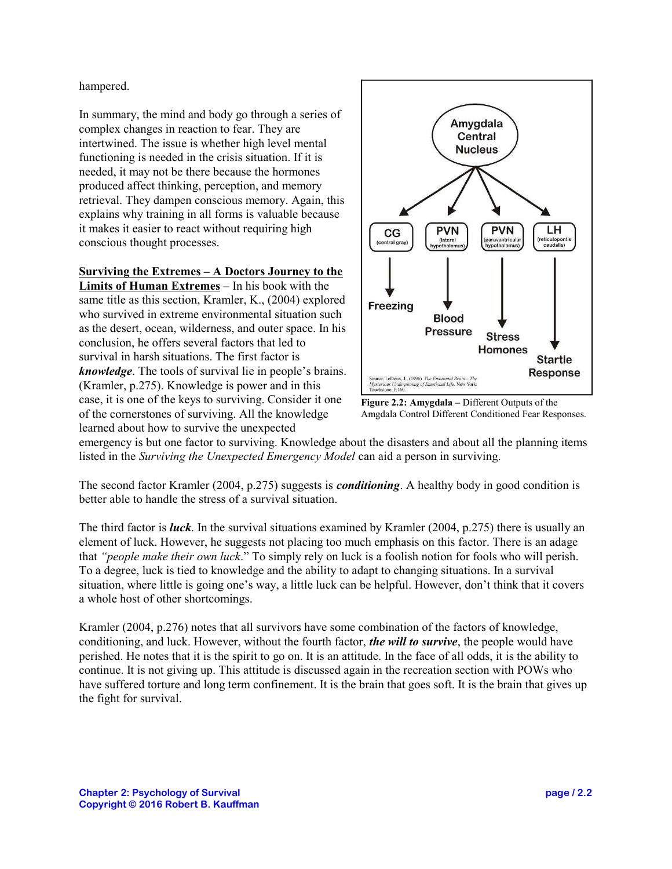hampered.

In summary, the mind and body go through a series of complex changes in reaction to fear. They are intertwined. The issue is whether high level mental functioning is needed in the crisis situation. If it is needed, it may not be there because the hormones produced affect thinking, perception, and memory retrieval. They dampen conscious memory. Again, this explains why training in all forms is valuable because it makes it easier to react without requiring high conscious thought processes.

## **Surviving the Extremes – A Doctors Journey to the**

**Limits of Human Extremes** – In his book with the same title as this section, Kramler, K., (2004) explored who survived in extreme environmental situation such as the desert, ocean, wilderness, and outer space. In his conclusion, he offers several factors that led to survival in harsh situations. The first factor is *knowledge*. The tools of survival lie in people's brains. (Kramler, p.275). Knowledge is power and in this case, it is one of the keys to surviving. Consider it one of the cornerstones of surviving. All the knowledge learned about how to survive the unexpected





emergency is but one factor to surviving. Knowledge about the disasters and about all the planning items listed in the *Surviving the Unexpected Emergency Model* can aid a person in surviving.

The second factor Kramler (2004, p.275) suggests is *conditioning*. A healthy body in good condition is better able to handle the stress of a survival situation.

The third factor is *luck*. In the survival situations examined by Kramler (2004, p.275) there is usually an element of luck. However, he suggests not placing too much emphasis on this factor. There is an adage that *"people make their own luck*." To simply rely on luck is a foolish notion for fools who will perish. To a degree, luck is tied to knowledge and the ability to adapt to changing situations. In a survival situation, where little is going one's way, a little luck can be helpful. However, don't think that it covers a whole host of other shortcomings.

Kramler (2004, p.276) notes that all survivors have some combination of the factors of knowledge, conditioning, and luck. However, without the fourth factor, *the will to survive*, the people would have perished. He notes that it is the spirit to go on. It is an attitude. In the face of all odds, it is the ability to continue. It is not giving up. This attitude is discussed again in the recreation section with POWs who have suffered torture and long term confinement. It is the brain that goes soft. It is the brain that gives up the fight for survival.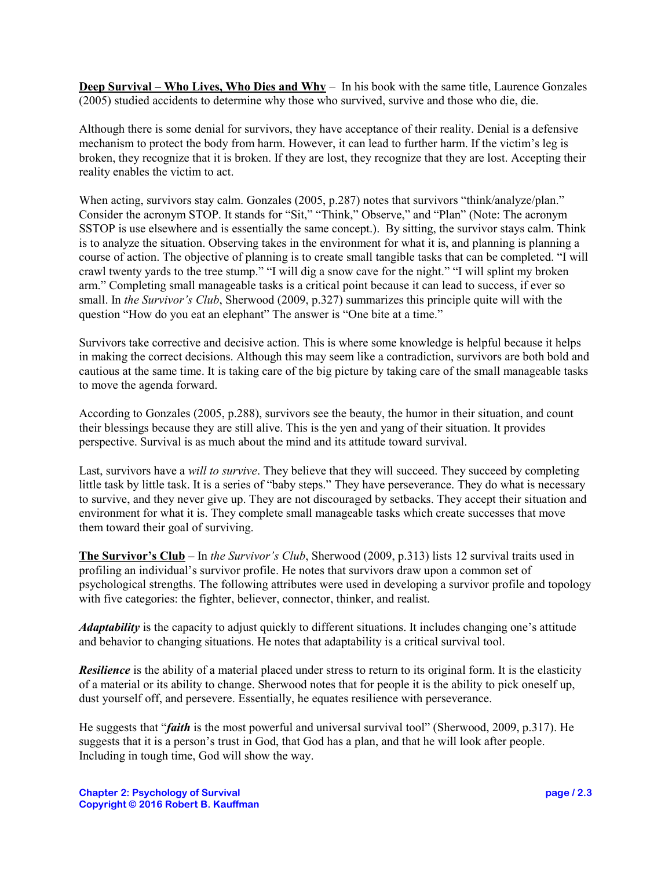**Deep Survival – Who Lives, Who Dies and Why** – In his book with the same title, Laurence Gonzales (2005) studied accidents to determine why those who survived, survive and those who die, die.

Although there is some denial for survivors, they have acceptance of their reality. Denial is a defensive mechanism to protect the body from harm. However, it can lead to further harm. If the victim's leg is broken, they recognize that it is broken. If they are lost, they recognize that they are lost. Accepting their reality enables the victim to act.

When acting, survivors stay calm. Gonzales (2005, p.287) notes that survivors "think/analyze/plan." Consider the acronym STOP. It stands for "Sit," "Think," Observe," and "Plan" (Note: The acronym SSTOP is use elsewhere and is essentially the same concept.). By sitting, the survivor stays calm. Think is to analyze the situation. Observing takes in the environment for what it is, and planning is planning a course of action. The objective of planning is to create small tangible tasks that can be completed. "I will crawl twenty yards to the tree stump." "I will dig a snow cave for the night." "I will splint my broken arm." Completing small manageable tasks is a critical point because it can lead to success, if ever so small. In *the Survivor's Club*, Sherwood (2009, p.327) summarizes this principle quite will with the question "How do you eat an elephant" The answer is "One bite at a time."

Survivors take corrective and decisive action. This is where some knowledge is helpful because it helps in making the correct decisions. Although this may seem like a contradiction, survivors are both bold and cautious at the same time. It is taking care of the big picture by taking care of the small manageable tasks to move the agenda forward.

According to Gonzales (2005, p.288), survivors see the beauty, the humor in their situation, and count their blessings because they are still alive. This is the yen and yang of their situation. It provides perspective. Survival is as much about the mind and its attitude toward survival.

Last, survivors have a *will to survive*. They believe that they will succeed. They succeed by completing little task by little task. It is a series of "baby steps." They have perseverance. They do what is necessary to survive, and they never give up. They are not discouraged by setbacks. They accept their situation and environment for what it is. They complete small manageable tasks which create successes that move them toward their goal of surviving.

**The Survivor's Club** – In *the Survivor's Club*, Sherwood (2009, p.313) lists 12 survival traits used in profiling an individual's survivor profile. He notes that survivors draw upon a common set of psychological strengths. The following attributes were used in developing a survivor profile and topology with five categories: the fighter, believer, connector, thinker, and realist.

*Adaptability* is the capacity to adjust quickly to different situations. It includes changing one's attitude and behavior to changing situations. He notes that adaptability is a critical survival tool.

*Resilience* is the ability of a material placed under stress to return to its original form. It is the elasticity of a material or its ability to change. Sherwood notes that for people it is the ability to pick oneself up, dust yourself off, and persevere. Essentially, he equates resilience with perseverance.

He suggests that "*faith* is the most powerful and universal survival tool" (Sherwood, 2009, p.317). He suggests that it is a person's trust in God, that God has a plan, and that he will look after people. Including in tough time, God will show the way.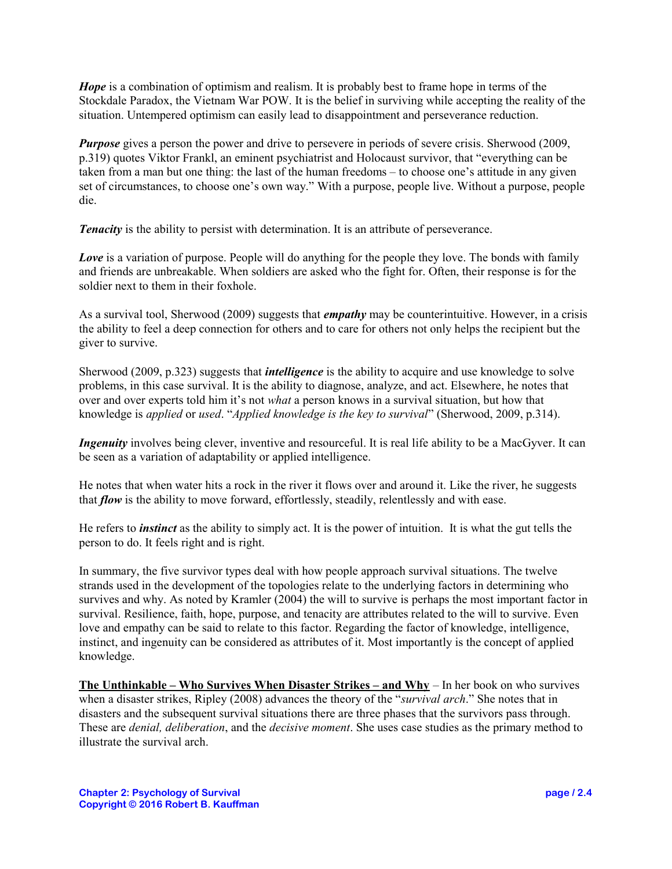*Hope* is a combination of optimism and realism. It is probably best to frame hope in terms of the Stockdale Paradox, the Vietnam War POW. It is the belief in surviving while accepting the reality of the situation. Untempered optimism can easily lead to disappointment and perseverance reduction.

*Purpose* gives a person the power and drive to persevere in periods of severe crisis. Sherwood (2009, p.319) quotes Viktor Frankl, an eminent psychiatrist and Holocaust survivor, that "everything can be taken from a man but one thing: the last of the human freedoms – to choose one's attitude in any given set of circumstances, to choose one's own way." With a purpose, people live. Without a purpose, people die.

**Tenacity** is the ability to persist with determination. It is an attribute of perseverance.

*Love* is a variation of purpose. People will do anything for the people they love. The bonds with family and friends are unbreakable. When soldiers are asked who the fight for. Often, their response is for the soldier next to them in their foxhole.

As a survival tool, Sherwood (2009) suggests that *empathy* may be counterintuitive. However, in a crisis the ability to feel a deep connection for others and to care for others not only helps the recipient but the giver to survive.

Sherwood (2009, p.323) suggests that *intelligence* is the ability to acquire and use knowledge to solve problems, in this case survival. It is the ability to diagnose, analyze, and act. Elsewhere, he notes that over and over experts told him it's not *what* a person knows in a survival situation, but how that knowledge is *applied* or *used*. "*Applied knowledge is the key to survival*" (Sherwood, 2009, p.314).

*Ingenuity* involves being clever, inventive and resourceful. It is real life ability to be a MacGyver. It can be seen as a variation of adaptability or applied intelligence.

He notes that when water hits a rock in the river it flows over and around it. Like the river, he suggests that *flow* is the ability to move forward, effortlessly, steadily, relentlessly and with ease.

He refers to *instinct* as the ability to simply act. It is the power of intuition. It is what the gut tells the person to do. It feels right and is right.

In summary, the five survivor types deal with how people approach survival situations. The twelve strands used in the development of the topologies relate to the underlying factors in determining who survives and why. As noted by Kramler (2004) the will to survive is perhaps the most important factor in survival. Resilience, faith, hope, purpose, and tenacity are attributes related to the will to survive. Even love and empathy can be said to relate to this factor. Regarding the factor of knowledge, intelligence, instinct, and ingenuity can be considered as attributes of it. Most importantly is the concept of applied knowledge.

**The Unthinkable – Who Survives When Disaster Strikes – and Why** – In her book on who survives when a disaster strikes, Ripley (2008) advances the theory of the "*survival arch*." She notes that in disasters and the subsequent survival situations there are three phases that the survivors pass through. These are *denial, deliberation*, and the *decisive moment*. She uses case studies as the primary method to illustrate the survival arch.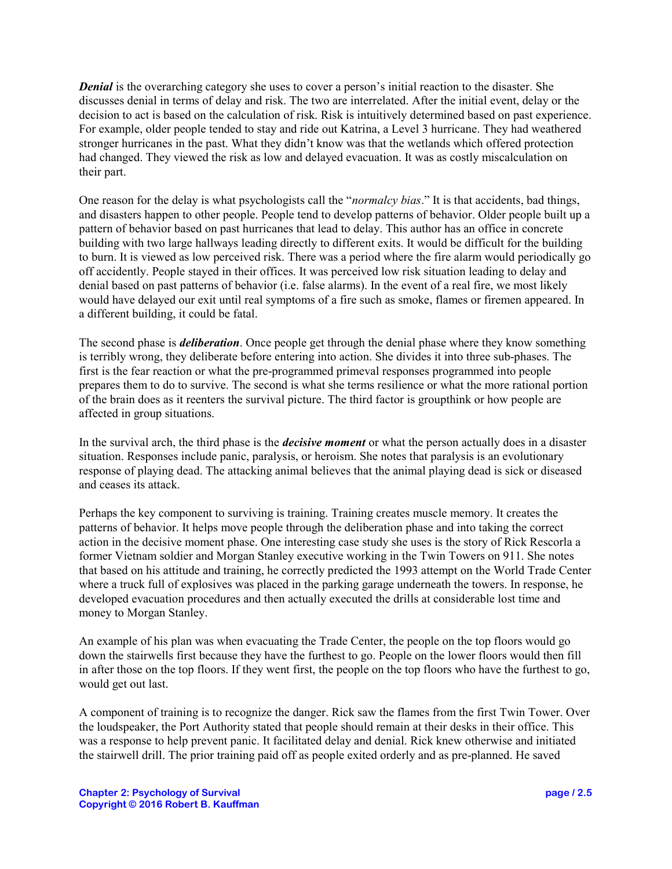*Denial* is the overarching category she uses to cover a person's initial reaction to the disaster. She discusses denial in terms of delay and risk. The two are interrelated. After the initial event, delay or the decision to act is based on the calculation of risk. Risk is intuitively determined based on past experience. For example, older people tended to stay and ride out Katrina, a Level 3 hurricane. They had weathered stronger hurricanes in the past. What they didn't know was that the wetlands which offered protection had changed. They viewed the risk as low and delayed evacuation. It was as costly miscalculation on their part.

One reason for the delay is what psychologists call the "*normalcy bias*." It is that accidents, bad things, and disasters happen to other people. People tend to develop patterns of behavior. Older people built up a pattern of behavior based on past hurricanes that lead to delay. This author has an office in concrete building with two large hallways leading directly to different exits. It would be difficult for the building to burn. It is viewed as low perceived risk. There was a period where the fire alarm would periodically go off accidently. People stayed in their offices. It was perceived low risk situation leading to delay and denial based on past patterns of behavior (i.e. false alarms). In the event of a real fire, we most likely would have delayed our exit until real symptoms of a fire such as smoke, flames or firemen appeared. In a different building, it could be fatal.

The second phase is *deliberation*. Once people get through the denial phase where they know something is terribly wrong, they deliberate before entering into action. She divides it into three sub-phases. The first is the fear reaction or what the pre-programmed primeval responses programmed into people prepares them to do to survive. The second is what she terms resilience or what the more rational portion of the brain does as it reenters the survival picture. The third factor is groupthink or how people are affected in group situations.

In the survival arch, the third phase is the *decisive moment* or what the person actually does in a disaster situation. Responses include panic, paralysis, or heroism. She notes that paralysis is an evolutionary response of playing dead. The attacking animal believes that the animal playing dead is sick or diseased and ceases its attack.

Perhaps the key component to surviving is training. Training creates muscle memory. It creates the patterns of behavior. It helps move people through the deliberation phase and into taking the correct action in the decisive moment phase. One interesting case study she uses is the story of Rick Rescorla a former Vietnam soldier and Morgan Stanley executive working in the Twin Towers on 911. She notes that based on his attitude and training, he correctly predicted the 1993 attempt on the World Trade Center where a truck full of explosives was placed in the parking garage underneath the towers. In response, he developed evacuation procedures and then actually executed the drills at considerable lost time and money to Morgan Stanley.

An example of his plan was when evacuating the Trade Center, the people on the top floors would go down the stairwells first because they have the furthest to go. People on the lower floors would then fill in after those on the top floors. If they went first, the people on the top floors who have the furthest to go, would get out last.

A component of training is to recognize the danger. Rick saw the flames from the first Twin Tower. Over the loudspeaker, the Port Authority stated that people should remain at their desks in their office. This was a response to help prevent panic. It facilitated delay and denial. Rick knew otherwise and initiated the stairwell drill. The prior training paid off as people exited orderly and as pre-planned. He saved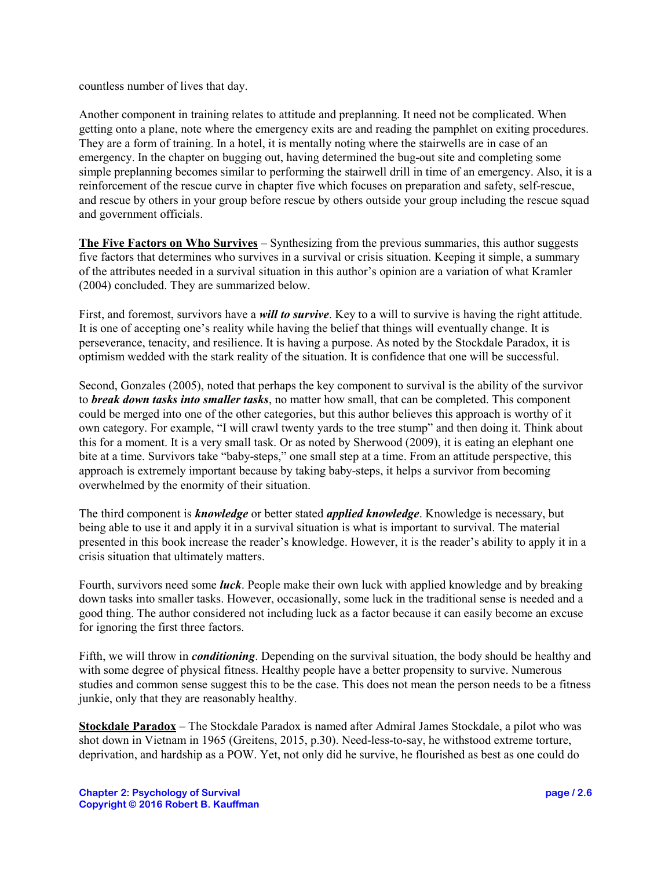countless number of lives that day.

Another component in training relates to attitude and preplanning. It need not be complicated. When getting onto a plane, note where the emergency exits are and reading the pamphlet on exiting procedures. They are a form of training. In a hotel, it is mentally noting where the stairwells are in case of an emergency. In the chapter on bugging out, having determined the bug-out site and completing some simple preplanning becomes similar to performing the stairwell drill in time of an emergency. Also, it is a reinforcement of the rescue curve in chapter five which focuses on preparation and safety, self-rescue, and rescue by others in your group before rescue by others outside your group including the rescue squad and government officials.

**The Five Factors on Who Survives** – Synthesizing from the previous summaries, this author suggests five factors that determines who survives in a survival or crisis situation. Keeping it simple, a summary of the attributes needed in a survival situation in this author's opinion are a variation of what Kramler (2004) concluded. They are summarized below.

First, and foremost, survivors have a *will to survive*. Key to a will to survive is having the right attitude. It is one of accepting one's reality while having the belief that things will eventually change. It is perseverance, tenacity, and resilience. It is having a purpose. As noted by the Stockdale Paradox, it is optimism wedded with the stark reality of the situation. It is confidence that one will be successful.

Second, Gonzales (2005), noted that perhaps the key component to survival is the ability of the survivor to *break down tasks into smaller tasks*, no matter how small, that can be completed. This component could be merged into one of the other categories, but this author believes this approach is worthy of it own category. For example, "I will crawl twenty yards to the tree stump" and then doing it. Think about this for a moment. It is a very small task. Or as noted by Sherwood (2009), it is eating an elephant one bite at a time. Survivors take "baby-steps," one small step at a time. From an attitude perspective, this approach is extremely important because by taking baby-steps, it helps a survivor from becoming overwhelmed by the enormity of their situation.

The third component is *knowledge* or better stated *applied knowledge*. Knowledge is necessary, but being able to use it and apply it in a survival situation is what is important to survival. The material presented in this book increase the reader's knowledge. However, it is the reader's ability to apply it in a crisis situation that ultimately matters.

Fourth, survivors need some *luck*. People make their own luck with applied knowledge and by breaking down tasks into smaller tasks. However, occasionally, some luck in the traditional sense is needed and a good thing. The author considered not including luck as a factor because it can easily become an excuse for ignoring the first three factors.

Fifth, we will throw in *conditioning*. Depending on the survival situation, the body should be healthy and with some degree of physical fitness. Healthy people have a better propensity to survive. Numerous studies and common sense suggest this to be the case. This does not mean the person needs to be a fitness junkie, only that they are reasonably healthy.

**Stockdale Paradox** – The Stockdale Paradox is named after Admiral James Stockdale, a pilot who was shot down in Vietnam in 1965 (Greitens, 2015, p.30). Need-less-to-say, he withstood extreme torture, deprivation, and hardship as a POW. Yet, not only did he survive, he flourished as best as one could do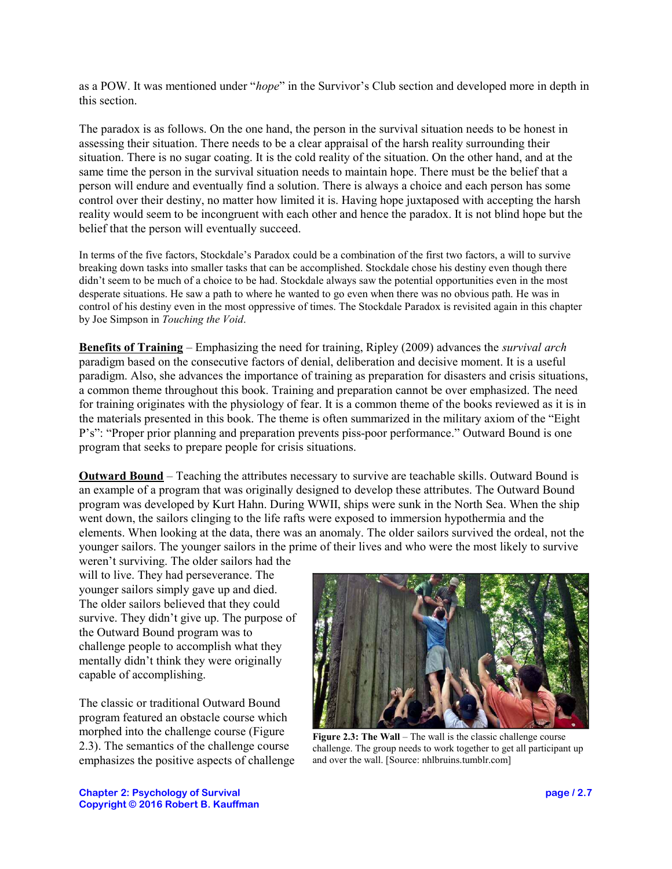as a POW. It was mentioned under "*hope*" in the Survivor's Club section and developed more in depth in this section.

The paradox is as follows. On the one hand, the person in the survival situation needs to be honest in assessing their situation. There needs to be a clear appraisal of the harsh reality surrounding their situation. There is no sugar coating. It is the cold reality of the situation. On the other hand, and at the same time the person in the survival situation needs to maintain hope. There must be the belief that a person will endure and eventually find a solution. There is always a choice and each person has some control over their destiny, no matter how limited it is. Having hope juxtaposed with accepting the harsh reality would seem to be incongruent with each other and hence the paradox. It is not blind hope but the belief that the person will eventually succeed.

In terms of the five factors, Stockdale's Paradox could be a combination of the first two factors, a will to survive breaking down tasks into smaller tasks that can be accomplished. Stockdale chose his destiny even though there didn't seem to be much of a choice to be had. Stockdale always saw the potential opportunities even in the most desperate situations. He saw a path to where he wanted to go even when there was no obvious path. He was in control of his destiny even in the most oppressive of times. The Stockdale Paradox is revisited again in this chapter by Joe Simpson in *Touching the Void*.

**Benefits of Training** – Emphasizing the need for training, Ripley (2009) advances the *survival arch* paradigm based on the consecutive factors of denial, deliberation and decisive moment. It is a useful paradigm. Also, she advances the importance of training as preparation for disasters and crisis situations, a common theme throughout this book. Training and preparation cannot be over emphasized. The need for training originates with the physiology of fear. It is a common theme of the books reviewed as it is in the materials presented in this book. The theme is often summarized in the military axiom of the "Eight P's": "Proper prior planning and preparation prevents piss-poor performance." Outward Bound is one program that seeks to prepare people for crisis situations.

**Outward Bound** – Teaching the attributes necessary to survive are teachable skills. Outward Bound is an example of a program that was originally designed to develop these attributes. The Outward Bound program was developed by Kurt Hahn. During WWII, ships were sunk in the North Sea. When the ship went down, the sailors clinging to the life rafts were exposed to immersion hypothermia and the elements. When looking at the data, there was an anomaly. The older sailors survived the ordeal, not the younger sailors. The younger sailors in the prime of their lives and who were the most likely to survive

weren't surviving. The older sailors had the will to live. They had perseverance. The younger sailors simply gave up and died. The older sailors believed that they could survive. They didn't give up. The purpose of the Outward Bound program was to challenge people to accomplish what they mentally didn't think they were originally capable of accomplishing.

The classic or traditional Outward Bound program featured an obstacle course which morphed into the challenge course (Figure 2.3). The semantics of the challenge course emphasizes the positive aspects of challenge



**Figure 2.3: The Wall** – The wall is the classic challenge course challenge. The group needs to work together to get all participant up and over the wall. [Source: nhlbruins.tumblr.com]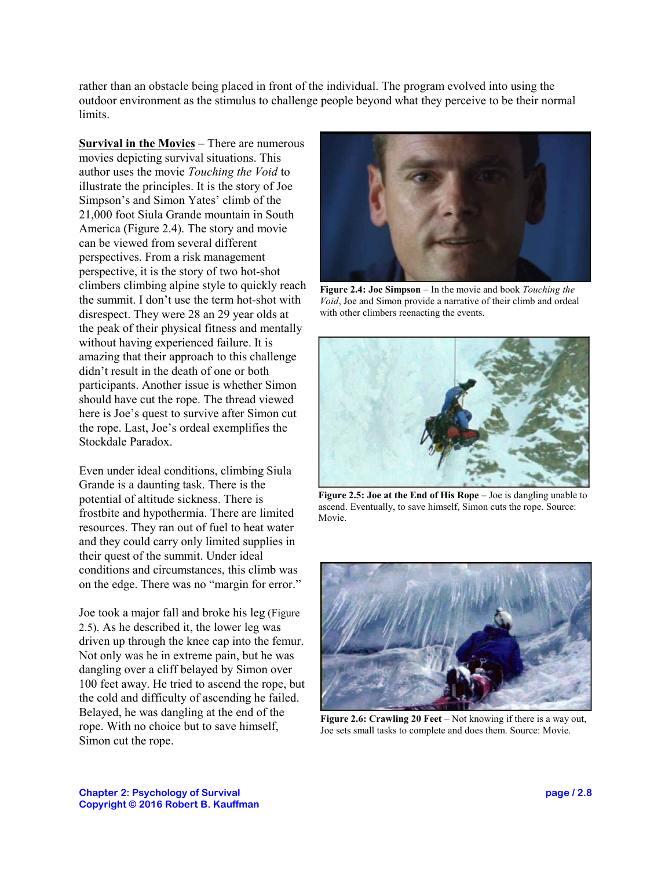rather than an obstacle being placed in front of the individual. The program evolved into using the outdoor environment as the stimulus to challenge people beyond what they perceive to be their normal limits.

**Survival in the Movies** – There are numerous movies depicting survival situations. This author uses the movie *Touching the Void* to illustrate the principles. It is the story of Joe Simpson's and Simon Yates' climb of the 21,000 foot Siula Grande mountain in South America (Figure 2.4). The story and movie can be viewed from several different perspectives. From a risk management perspective, it is the story of two hot-shot climbers climbing alpine style to quickly reach the summit. I don't use the term hot-shot with disrespect. They were 28 an 29 year olds at the peak of their physical fitness and mentally without having experienced failure. It is amazing that their approach to this challenge didn't result in the death of one or both participants. Another issue is whether Simon should have cut the rope. The thread viewed here is Joe's quest to survive after Simon cut the rope. Last, Joe's ordeal exemplifies the Stockdale Paradox.

Even under ideal conditions, climbing Siula Grande is a daunting task. There is the potential of altitude sickness. There is frostbite and hypothermia. There are limited resources. They ran out of fuel to heat water and they could carry only limited supplies in their quest of the summit. Under ideal conditions and circumstances, this climb was on the edge. There was no "margin for error."

Joe took a major fall and broke his leg (Figure 2.5). As he described it, the lower leg was driven up through the knee cap into the femur. Not only was he in extreme pain, but he was dangling over a cliff belayed by Simon over 100 feet away. He tried to ascend the rope, but the cold and difficulty of ascending he failed. Belayed, he was dangling at the end of the rope. With no choice but to save himself, Simon cut the rope.



**Figure 2.4: Joe Simpson** – In the movie and book *Touching the Void*, Joe and Simon provide a narrative of their climb and ordeal with other climbers reenacting the events.



**Figure 2.5: Joe at the End of His Rope** – Joe is dangling unable to ascend. Eventually, to save himself, Simon cuts the rope. Source: Movie.



**Figure 2.6: Crawling 20 Feet** – Not knowing if there is a way out, Joe sets small tasks to complete and does them. Source: Movie.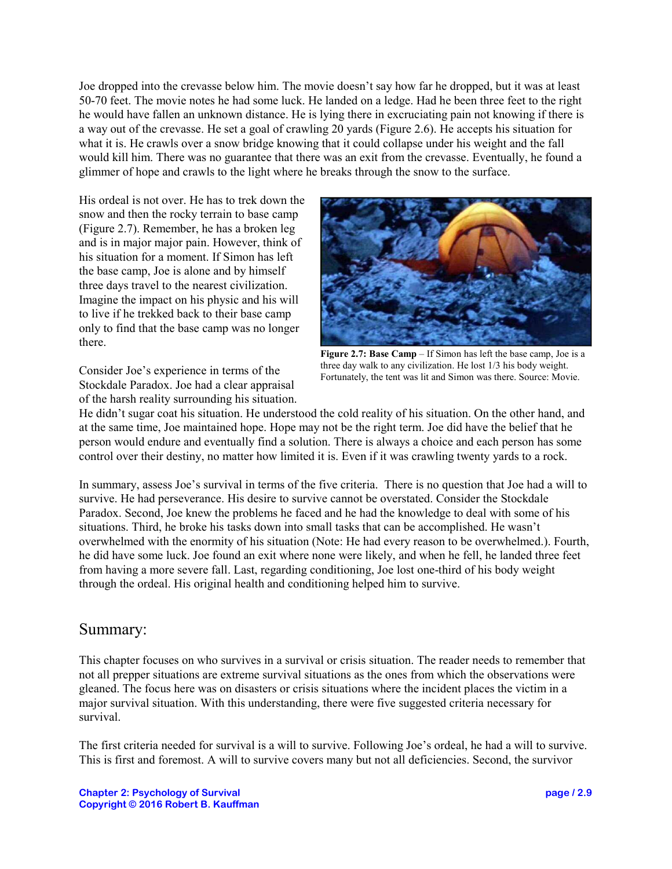Joe dropped into the crevasse below him. The movie doesn't say how far he dropped, but it was at least 50-70 feet. The movie notes he had some luck. He landed on a ledge. Had he been three feet to the right he would have fallen an unknown distance. He is lying there in excruciating pain not knowing if there is a way out of the crevasse. He set a goal of crawling 20 yards (Figure 2.6). He accepts his situation for what it is. He crawls over a snow bridge knowing that it could collapse under his weight and the fall would kill him. There was no guarantee that there was an exit from the crevasse. Eventually, he found a glimmer of hope and crawls to the light where he breaks through the snow to the surface.

His ordeal is not over. He has to trek down the snow and then the rocky terrain to base camp (Figure 2.7). Remember, he has a broken leg and is in major major pain. However, think of his situation for a moment. If Simon has left the base camp, Joe is alone and by himself three days travel to the nearest civilization. Imagine the impact on his physic and his will to live if he trekked back to their base camp only to find that the base camp was no longer there.



**Figure 2.7: Base Camp** – If Simon has left the base camp, Joe is a three day walk to any civilization. He lost 1/3 his body weight. Fortunately, the tent was lit and Simon was there. Source: Movie.

Consider Joe's experience in terms of the Stockdale Paradox. Joe had a clear appraisal of the harsh reality surrounding his situation.

He didn't sugar coat his situation. He understood the cold reality of his situation. On the other hand, and at the same time, Joe maintained hope. Hope may not be the right term. Joe did have the belief that he person would endure and eventually find a solution. There is always a choice and each person has some control over their destiny, no matter how limited it is. Even if it was crawling twenty yards to a rock.

In summary, assess Joe's survival in terms of the five criteria. There is no question that Joe had a will to survive. He had perseverance. His desire to survive cannot be overstated. Consider the Stockdale Paradox. Second, Joe knew the problems he faced and he had the knowledge to deal with some of his situations. Third, he broke his tasks down into small tasks that can be accomplished. He wasn't overwhelmed with the enormity of his situation (Note: He had every reason to be overwhelmed.). Fourth, he did have some luck. Joe found an exit where none were likely, and when he fell, he landed three feet from having a more severe fall. Last, regarding conditioning, Joe lost one-third of his body weight through the ordeal. His original health and conditioning helped him to survive.

## Summary:

This chapter focuses on who survives in a survival or crisis situation. The reader needs to remember that not all prepper situations are extreme survival situations as the ones from which the observations were gleaned. The focus here was on disasters or crisis situations where the incident places the victim in a major survival situation. With this understanding, there were five suggested criteria necessary for survival.

The first criteria needed for survival is a will to survive. Following Joe's ordeal, he had a will to survive. This is first and foremost. A will to survive covers many but not all deficiencies. Second, the survivor